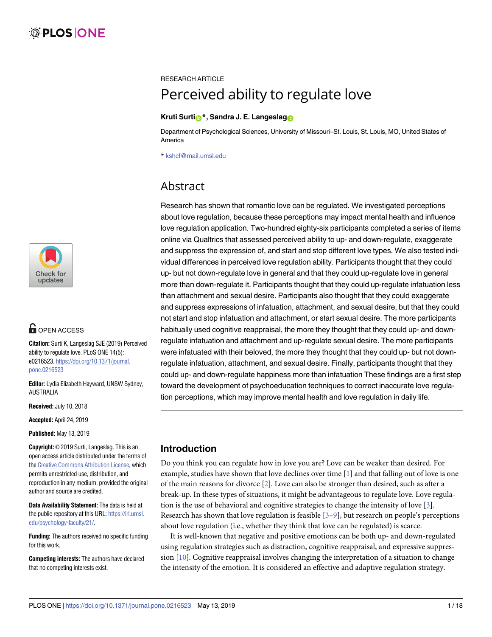<u>[a1111111111](http://crossmark.crossref.org/dialog/?doi=10.1371/journal.pone.0216523&domain=pdf&date_stamp=2019-05-13)1111111111111111111</u> [a1111111111](http://crossmark.crossref.org/dialog/?doi=10.1371/journal.pone.0216523&domain=pdf&date_stamp=2019-05-13) [a1111111111](http://crossmark.crossref.org/dialog/?doi=10.1371/journal.pone.0216523&domain=pdf&date_stamp=2019-05-13) Check for updates

# **G** OPEN ACCESS

**Citation:** Surti K, Langeslag SJE (2019) Perceived ability to regulate love. PLoS ONE 14(5): e0216523. [https://doi.org/10.1371/journal.](https://doi.org/10.1371/journal.pone.0216523) [pone.0216523](https://doi.org/10.1371/journal.pone.0216523)

**Editor:** Lydia Elizabeth Hayward, UNSW Sydney, AUSTRALIA

**Received:** July 10, 2018

**Accepted:** April 24, 2019

**Published:** May 13, 2019

**Copyright:** © 2019 Surti, Langeslag. This is an open access article distributed under the terms of the Creative [Commons](http://creativecommons.org/licenses/by/4.0/) Attribution License, which permits unrestricted use, distribution, and reproduction in any medium, provided the original author and source are credited.

**Data Availability Statement:** The data is held at the public repository at this URL: [https://irl.umsl.](https://irl.umsl.edu/psychology-faculty/21/) [edu/psychology-faculty/21/.](https://irl.umsl.edu/psychology-faculty/21/)

**Funding:** The authors received no specific funding for this work.

**Competing interests:** The authors have declared that no competing interests exist.

<span id="page-0-0"></span>RESEARCH ARTICLE

# Perceived ability to regulate love

#### **Kruti Surti**<sup>®</sup><sup>\*</sup>, Sandra J. E. Langeslag<sup>®</sup>

Department of Psychological Sciences, University of Missouri–St. Louis, St. Louis, MO, United States of America

\* kshcf@mail.umsl.edu

# Abstract

Research has shown that romantic love can be regulated. We investigated perceptions about love regulation, because these perceptions may impact mental health and influence love regulation application. Two-hundred eighty-six participants completed a series of items online via Qualtrics that assessed perceived ability to up- and down-regulate, exaggerate and suppress the expression of, and start and stop different love types. We also tested individual differences in perceived love regulation ability. Participants thought that they could up- but not down-regulate love in general and that they could up-regulate love in general more than down-regulate it. Participants thought that they could up-regulate infatuation less than attachment and sexual desire. Participants also thought that they could exaggerate and suppress expressions of infatuation, attachment, and sexual desire, but that they could not start and stop infatuation and attachment, or start sexual desire. The more participants habitually used cognitive reappraisal, the more they thought that they could up- and downregulate infatuation and attachment and up-regulate sexual desire. The more participants were infatuated with their beloved, the more they thought that they could up- but not downregulate infatuation, attachment, and sexual desire. Finally, participants thought that they could up- and down-regulate happiness more than infatuation These findings are a first step toward the development of psychoeducation techniques to correct inaccurate love regulation perceptions, which may improve mental health and love regulation in daily life.

# **Introduction**

Do you think you can regulate how in love you are? Love can be weaker than desired. For example, studies have shown that love declines over time [[1\]](#page-15-0) and that falling out of love is one of the main reasons for divorce [\[2\]](#page-15-0). Love can also be stronger than desired, such as after a break-up. In these types of situations, it might be advantageous to regulate love. Love regulation is the use of behavioral and cognitive strategies to change the intensity of love [[3](#page-15-0)]. Research has shown that love regulation is feasible  $[3-9]$  $[3-9]$ , but research on people's perceptions about love regulation (i.e., whether they think that love can be regulated) is scarce.

It is well-known that negative and positive emotions can be both up- and down-regulated using regulation strategies such as distraction, cognitive reappraisal, and expressive suppression [\[10\]](#page-16-0). Cognitive reappraisal involves changing the interpretation of a situation to change the intensity of the emotion. It is considered an effective and adaptive regulation strategy.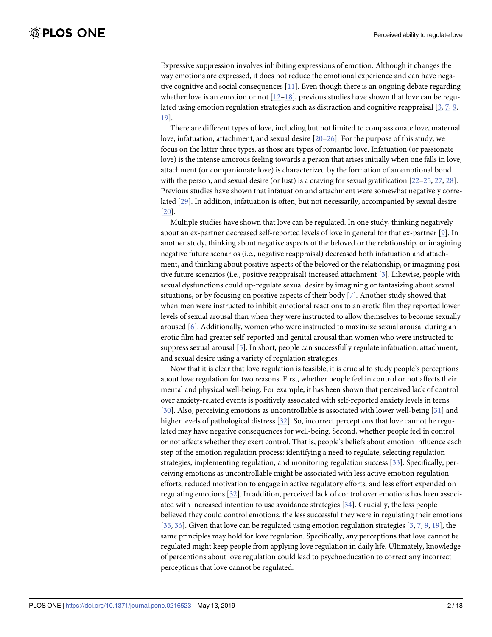<span id="page-1-0"></span>Expressive suppression involves inhibiting expressions of emotion. Although it changes the way emotions are expressed, it does not reduce the emotional experience and can have nega-tive cognitive and social consequences [[11](#page-16-0)]. Even though there is an ongoing debate regarding whether love is an emotion or not  $[12–18]$  $[12–18]$  $[12–18]$  $[12–18]$ , previous studies have shown that love can be regu-lated using emotion regulation strategies such as distraction and cognitive reappraisal [\[3,](#page-15-0) [7,](#page-15-0) [9](#page-16-0), [19\]](#page-16-0).

There are different types of love, including but not limited to compassionate love, maternal love, infatuation, attachment, and sexual desire [\[20–26\]](#page-16-0). For the purpose of this study, we focus on the latter three types, as those are types of romantic love. Infatuation (or passionate love) is the intense amorous feeling towards a person that arises initially when one falls in love, attachment (or companionate love) is characterized by the formation of an emotional bond with the person, and sexual desire (or lust) is a craving for sexual gratification  $[22-25, 27, 28]$  $[22-25, 27, 28]$  $[22-25, 27, 28]$  $[22-25, 27, 28]$ . Previous studies have shown that infatuation and attachment were somewhat negatively correlated [[29](#page-16-0)]. In addition, infatuation is often, but not necessarily, accompanied by sexual desire [\[20\]](#page-16-0).

Multiple studies have shown that love can be regulated. In one study, thinking negatively about an ex-partner decreased self-reported levels of love in general for that ex-partner [\[9\]](#page-16-0). In another study, thinking about negative aspects of the beloved or the relationship, or imagining negative future scenarios (i.e., negative reappraisal) decreased both infatuation and attachment, and thinking about positive aspects of the beloved or the relationship, or imagining positive future scenarios (i.e., positive reappraisal) increased attachment [[3\]](#page-15-0). Likewise, people with sexual dysfunctions could up-regulate sexual desire by imagining or fantasizing about sexual situations, or by focusing on positive aspects of their body [\[7\]](#page-15-0). Another study showed that when men were instructed to inhibit emotional reactions to an erotic film they reported lower levels of sexual arousal than when they were instructed to allow themselves to become sexually aroused [\[6\]](#page-15-0). Additionally, women who were instructed to maximize sexual arousal during an erotic film had greater self-reported and genital arousal than women who were instructed to suppress sexual arousal [[5\]](#page-15-0). In short, people can successfully regulate infatuation, attachment, and sexual desire using a variety of regulation strategies.

Now that it is clear that love regulation is feasible, it is crucial to study people's perceptions about love regulation for two reasons. First, whether people feel in control or not affects their mental and physical well-being. For example, it has been shown that perceived lack of control over anxiety-related events is positively associated with self-reported anxiety levels in teens [\[30\]](#page-16-0). Also, perceiving emotions as uncontrollable is associated with lower well-being [\[31\]](#page-16-0) and higher levels of pathological distress [\[32\]](#page-16-0). So, incorrect perceptions that love cannot be regulated may have negative consequences for well-being. Second, whether people feel in control or not affects whether they exert control. That is, people's beliefs about emotion influence each step of the emotion regulation process: identifying a need to regulate, selecting regulation strategies, implementing regulation, and monitoring regulation success [\[33\]](#page-16-0). Specifically, perceiving emotions as uncontrollable might be associated with less active emotion regulation efforts, reduced motivation to engage in active regulatory efforts, and less effort expended on regulating emotions [[32](#page-16-0)]. In addition, perceived lack of control over emotions has been associated with increased intention to use avoidance strategies [[34](#page-16-0)]. Crucially, the less people believed they could control emotions, the less successful they were in regulating their emotions [\[35,](#page-17-0) [36\]](#page-17-0). Given that love can be regulated using emotion regulation strategies [\[3,](#page-15-0) [7,](#page-15-0) [9](#page-16-0), [19](#page-16-0)], the same principles may hold for love regulation. Specifically, any perceptions that love cannot be regulated might keep people from applying love regulation in daily life. Ultimately, knowledge of perceptions about love regulation could lead to psychoeducation to correct any incorrect perceptions that love cannot be regulated.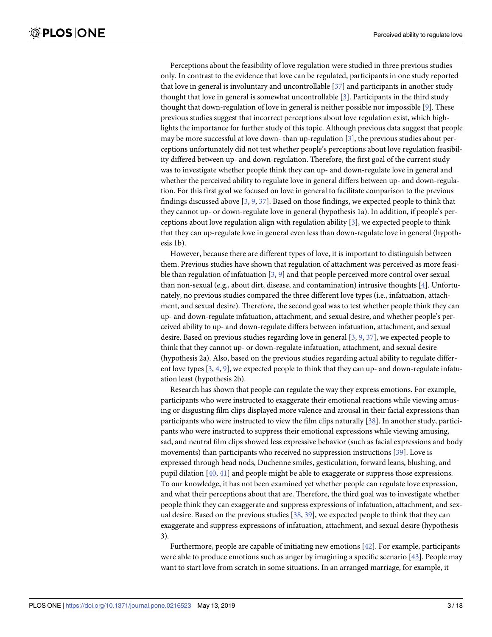<span id="page-2-0"></span>Perceptions about the feasibility of love regulation were studied in three previous studies only. In contrast to the evidence that love can be regulated, participants in one study reported that love in general is involuntary and uncontrollable [[37](#page-17-0)] and participants in another study thought that love in general is somewhat uncontrollable [[3\]](#page-15-0). Participants in the third study thought that down-regulation of love in general is neither possible nor impossible [\[9](#page-16-0)]. These previous studies suggest that incorrect perceptions about love regulation exist, which highlights the importance for further study of this topic. Although previous data suggest that people may be more successful at love down- than up-regulation [[3\]](#page-15-0), the previous studies about perceptions unfortunately did not test whether people's perceptions about love regulation feasibility differed between up- and down-regulation. Therefore, the first goal of the current study was to investigate whether people think they can up- and down-regulate love in general and whether the perceived ability to regulate love in general differs between up- and down-regulation. For this first goal we focused on love in general to facilitate comparison to the previous findings discussed above [[3,](#page-15-0) [9,](#page-16-0) [37\]](#page-17-0). Based on those findings, we expected people to think that they cannot up- or down-regulate love in general (hypothesis 1a). In addition, if people's perceptions about love regulation align with regulation ability [\[3](#page-15-0)], we expected people to think that they can up-regulate love in general even less than down-regulate love in general (hypothesis 1b).

However, because there are different types of love, it is important to distinguish between them. Previous studies have shown that regulation of attachment was perceived as more feasi-ble than regulation of infatuation [\[3](#page-15-0), [9](#page-16-0)] and that people perceived more control over sexual than non-sexual (e.g., about dirt, disease, and contamination) intrusive thoughts [\[4](#page-15-0)]. Unfortunately, no previous studies compared the three different love types (i.e., infatuation, attachment, and sexual desire). Therefore, the second goal was to test whether people think they can up- and down-regulate infatuation, attachment, and sexual desire, and whether people's perceived ability to up- and down-regulate differs between infatuation, attachment, and sexual desire. Based on previous studies regarding love in general [\[3](#page-15-0), [9](#page-16-0), [37](#page-17-0)], we expected people to think that they cannot up- or down-regulate infatuation, attachment, and sexual desire (hypothesis 2a). Also, based on the previous studies regarding actual ability to regulate different love types [\[3,](#page-15-0) [4](#page-15-0), [9](#page-16-0)], we expected people to think that they can up- and down-regulate infatuation least (hypothesis 2b).

Research has shown that people can regulate the way they express emotions. For example, participants who were instructed to exaggerate their emotional reactions while viewing amusing or disgusting film clips displayed more valence and arousal in their facial expressions than participants who were instructed to view the film clips naturally [\[38\]](#page-17-0). In another study, participants who were instructed to suppress their emotional expressions while viewing amusing, sad, and neutral film clips showed less expressive behavior (such as facial expressions and body movements) than participants who received no suppression instructions [[39](#page-17-0)]. Love is expressed through head nods, Duchenne smiles, gesticulation, forward leans, blushing, and pupil dilation [[40](#page-17-0), [41\]](#page-17-0) and people might be able to exaggerate or suppress those expressions. To our knowledge, it has not been examined yet whether people can regulate love expression, and what their perceptions about that are. Therefore, the third goal was to investigate whether people think they can exaggerate and suppress expressions of infatuation, attachment, and sexual desire. Based on the previous studies [\[38,](#page-17-0) [39\]](#page-17-0), we expected people to think that they can exaggerate and suppress expressions of infatuation, attachment, and sexual desire (hypothesis 3).

Furthermore, people are capable of initiating new emotions [[42](#page-17-0)]. For example, participants were able to produce emotions such as anger by imagining a specific scenario [\[43\]](#page-17-0). People may want to start love from scratch in some situations. In an arranged marriage, for example, it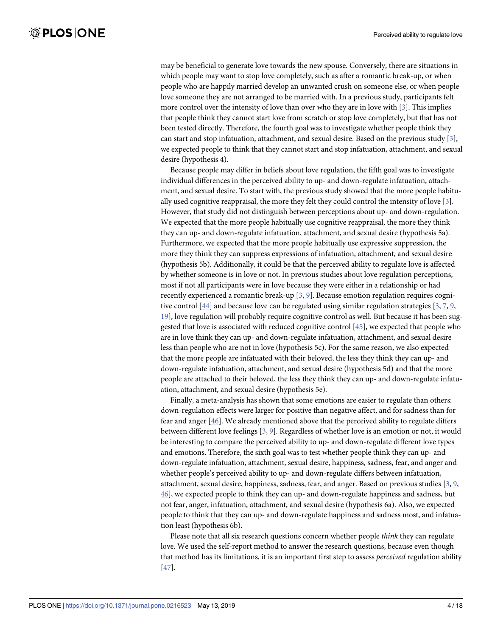<span id="page-3-0"></span>may be beneficial to generate love towards the new spouse. Conversely, there are situations in which people may want to stop love completely, such as after a romantic break-up, or when people who are happily married develop an unwanted crush on someone else, or when people love someone they are not arranged to be married with. In a previous study, participants felt more control over the intensity of love than over who they are in love with [\[3\]](#page-15-0). This implies that people think they cannot start love from scratch or stop love completely, but that has not been tested directly. Therefore, the fourth goal was to investigate whether people think they can start and stop infatuation, attachment, and sexual desire. Based on the previous study [[3](#page-15-0)], we expected people to think that they cannot start and stop infatuation, attachment, and sexual desire (hypothesis 4).

Because people may differ in beliefs about love regulation, the fifth goal was to investigate individual differences in the perceived ability to up- and down-regulate infatuation, attachment, and sexual desire. To start with, the previous study showed that the more people habitually used cognitive reappraisal, the more they felt they could control the intensity of love [\[3](#page-15-0)]. However, that study did not distinguish between perceptions about up- and down-regulation. We expected that the more people habitually use cognitive reappraisal, the more they think they can up- and down-regulate infatuation, attachment, and sexual desire (hypothesis 5a). Furthermore, we expected that the more people habitually use expressive suppression, the more they think they can suppress expressions of infatuation, attachment, and sexual desire (hypothesis 5b). Additionally, it could be that the perceived ability to regulate love is affected by whether someone is in love or not. In previous studies about love regulation perceptions, most if not all participants were in love because they were either in a relationship or had recently experienced a romantic break-up [[3](#page-15-0), [9\]](#page-16-0). Because emotion regulation requires cognitive control [\[44\]](#page-17-0) and because love can be regulated using similar regulation strategies [\[3,](#page-15-0) [7,](#page-15-0) [9](#page-16-0), [19\]](#page-16-0), love regulation will probably require cognitive control as well. But because it has been suggested that love is associated with reduced cognitive control [\[45\]](#page-17-0), we expected that people who are in love think they can up- and down-regulate infatuation, attachment, and sexual desire less than people who are not in love (hypothesis 5c). For the same reason, we also expected that the more people are infatuated with their beloved, the less they think they can up- and down-regulate infatuation, attachment, and sexual desire (hypothesis 5d) and that the more people are attached to their beloved, the less they think they can up- and down-regulate infatuation, attachment, and sexual desire (hypothesis 5e).

Finally, a meta-analysis has shown that some emotions are easier to regulate than others: down-regulation effects were larger for positive than negative affect, and for sadness than for fear and anger [[46](#page-17-0)]. We already mentioned above that the perceived ability to regulate differs between different love feelings [\[3,](#page-15-0) [9](#page-16-0)]. Regardless of whether love is an emotion or not, it would be interesting to compare the perceived ability to up- and down-regulate different love types and emotions. Therefore, the sixth goal was to test whether people think they can up- and down-regulate infatuation, attachment, sexual desire, happiness, sadness, fear, and anger and whether people's perceived ability to up- and down-regulate differs between infatuation, attachment, sexual desire, happiness, sadness, fear, and anger. Based on previous studies [[3,](#page-15-0) [9,](#page-16-0) [46\]](#page-17-0), we expected people to think they can up- and down-regulate happiness and sadness, but not fear, anger, infatuation, attachment, and sexual desire (hypothesis 6a). Also, we expected people to think that they can up- and down-regulate happiness and sadness most, and infatuation least (hypothesis 6b).

Please note that all six research questions concern whether people *think* they can regulate love. We used the self-report method to answer the research questions, because even though that method has its limitations, it is an important first step to assess *perceived* regulation ability [\[47\]](#page-17-0).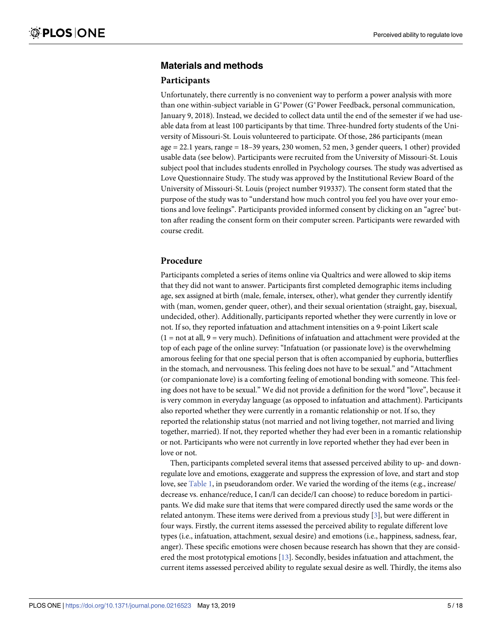# <span id="page-4-0"></span>**Materials and methods**

#### **Participants**

Unfortunately, there currently is no convenient way to perform a power analysis with more than one within-subject variable in  $G^*$  Power ( $G^*$  Power Feedback, personal communication, January 9, 2018). Instead, we decided to collect data until the end of the semester if we had useable data from at least 100 participants by that time. Three-hundred forty students of the University of Missouri-St. Louis volunteered to participate. Of those, 286 participants (mean age = 22.1 years, range = 18–39 years, 230 women, 52 men, 3 gender queers, 1 other) provided usable data (see below). Participants were recruited from the University of Missouri-St. Louis subject pool that includes students enrolled in Psychology courses. The study was advertised as Love Questionnaire Study. The study was approved by the Institutional Review Board of the University of Missouri-St. Louis (project number 919337). The consent form stated that the purpose of the study was to "understand how much control you feel you have over your emotions and love feelings". Participants provided informed consent by clicking on an "agree' button after reading the consent form on their computer screen. Participants were rewarded with course credit.

## **Procedure**

Participants completed a series of items online via Qualtrics and were allowed to skip items that they did not want to answer. Participants first completed demographic items including age, sex assigned at birth (male, female, intersex, other), what gender they currently identify with (man, women, gender queer, other), and their sexual orientation (straight, gay, bisexual, undecided, other). Additionally, participants reported whether they were currently in love or not. If so, they reported infatuation and attachment intensities on a 9-point Likert scale  $(1 = not at all, 9 = very much)$ . Definitions of infatuation and attachment were provided at the top of each page of the online survey: "Infatuation (or passionate love) is the overwhelming amorous feeling for that one special person that is often accompanied by euphoria, butterflies in the stomach, and nervousness. This feeling does not have to be sexual." and "Attachment (or companionate love) is a comforting feeling of emotional bonding with someone. This feeling does not have to be sexual." We did not provide a definition for the word "love", because it is very common in everyday language (as opposed to infatuation and attachment). Participants also reported whether they were currently in a romantic relationship or not. If so, they reported the relationship status (not married and not living together, not married and living together, married). If not, they reported whether they had ever been in a romantic relationship or not. Participants who were not currently in love reported whether they had ever been in love or not.

Then, participants completed several items that assessed perceived ability to up- and downregulate love and emotions, exaggerate and suppress the expression of love, and start and stop love, see [Table](#page-5-0) 1, in pseudorandom order. We varied the wording of the items (e.g., increase/ decrease vs. enhance/reduce, I can/I can decide/I can choose) to reduce boredom in participants. We did make sure that items that were compared directly used the same words or the related antonym. These items were derived from a previous study [\[3](#page-15-0)], but were different in four ways. Firstly, the current items assessed the perceived ability to regulate different love types (i.e., infatuation, attachment, sexual desire) and emotions (i.e., happiness, sadness, fear, anger). These specific emotions were chosen because research has shown that they are considered the most prototypical emotions [[13](#page-16-0)]. Secondly, besides infatuation and attachment, the current items assessed perceived ability to regulate sexual desire as well. Thirdly, the items also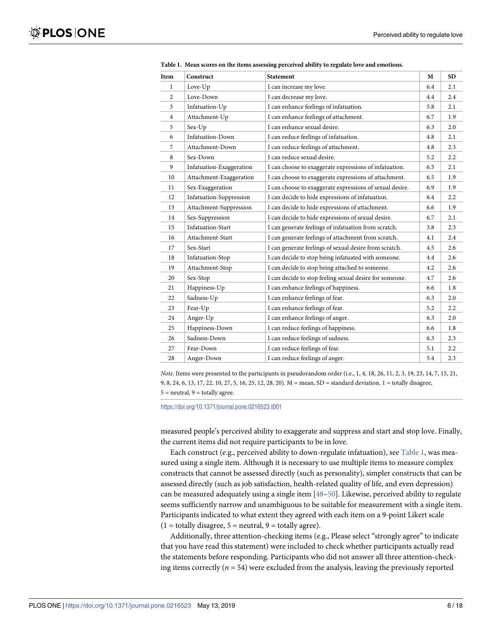| Item           | Construct                | <b>Statement</b>                                         | M   | <b>SD</b> |
|----------------|--------------------------|----------------------------------------------------------|-----|-----------|
| 1              | Love-Up                  | I can increase my love.                                  | 6.4 | 2.1       |
| 2              | Love-Down                | I can decrease my love.                                  | 4.4 | 2.4       |
| 3              | Infatuation-Up           | I can enhance feelings of infatuation.                   | 5.8 | 2.1       |
| 4              | Attachment-Up            | I can enhance feelings of attachment.                    | 6.7 | 1.9       |
| 5              | Sex-Up                   | I can enhance sexual desire.                             | 6.3 | 2.0       |
| 6              | <b>Infatuation-Down</b>  | I can reduce feelings of infatuation.                    | 4.8 | 2.1       |
| $\overline{7}$ | Attachment-Down          | I can reduce feelings of attachment.                     | 4.8 | 2.3       |
| 8              | Sex-Down                 | I can reduce sexual desire.                              | 5.2 | 2.2       |
| 9              | Infatuation-Exaggeration | I can choose to exaggerate expressions of infatuation.   | 6.5 | 2.1       |
| 10             | Attachment-Exaggeration  | I can choose to exaggerate expressions of attachment.    | 6.5 | 1.9       |
| 11             | Sex-Exaggeration         | I can choose to exaggerate expressions of sexual desire. | 6.9 | 1.9       |
| 12             | Infatuation-Suppression  | I can decide to hide expressions of infatuation.         | 6.4 | 2.2       |
| 13             | Attachment-Suppression   | I can decide to hide expressions of attachment.          | 6.6 | 1.9       |
| 14             | Sex-Suppression          | I can decide to hide expressions of sexual desire.       | 6.7 | 2.1       |
| 15             | <b>Infatuation-Start</b> | I can generate feelings of infatuation from scratch.     | 3.8 | 2.3       |
| 16             | Attachment-Start         | I can generate feelings of attachment from scratch.      | 4.1 | 2.4       |
| 17             | Sex-Start                | I can generate feelings of sexual desire from scratch.   | 4.5 | 2.6       |
| 18             | Infatuation-Stop         | I can decide to stop being infatuated with someone.      | 4.4 | 2.6       |
| 19             | Attachment-Stop          | I can decide to stop being attached to someone.          | 4.2 | 2.6       |
| 20             | Sex-Stop                 | I can decide to stop feeling sexual desire for someone.  | 4.7 | 2.6       |
| 21             | Happiness-Up             | I can enhance feelings of happiness.                     | 6.6 | 1.8       |
| 22             | Sadness-Up               | I can enhance feelings of fear.                          | 6.3 | 2.0       |
| 23             | Fear-Up                  | I can enhance feelings of fear.                          | 5.2 | 2.2       |
| 24             | Anger-Up                 | I can enhance feelings of anger.                         | 6.3 | 2.0       |
| 25             | Happiness-Down           | I can reduce feelings of happiness.                      | 6.6 | 1.8       |
| 26             | Sadness-Down             | I can reduce feelings of sadness.                        | 6.3 | 2.3       |
| 27             | Fear-Down                | I can reduce feelings of fear.                           | 5.1 | 2.2       |
| 28             | Anger-Down               | I can reduce feelings of anger.                          | 5.4 | 2.3       |

<span id="page-5-0"></span>**[Table](#page-4-0) 1. Mean scores on the items assessing perceived ability to regulate love and emotions.**

*Note*. Items were presented to the participants in pseudorandom order (i.e., 1, 4, 18, 26, 11, 2, 3, 19, 23, 14, 7, 15, 21, 9, 8, 24, 6, 13, 17, 22, 10, 27, 5, 16, 25, 12, 28, 20). M = mean, SD = standard deviation. 1 = totally disagree,  $5 =$  neutral,  $9 =$  totally agree.

<https://doi.org/10.1371/journal.pone.0216523.t001>

measured people's perceived ability to exaggerate and suppress and start and stop love. Finally, the current items did not require participants to be in love.

Each construct (e.g., perceived ability to down-regulate infatuation), see Table 1, was measured using a single item. Although it is necessary to use multiple items to measure complex constructs that cannot be assessed directly (such as personality), simpler constructs that can be assessed directly (such as job satisfaction, health-related quality of life, and even depression) can be measured adequately using a single item  $[48–50]$  $[48–50]$ . Likewise, perceived ability to regulate seems sufficiently narrow and unambiguous to be suitable for measurement with a single item. Participants indicated to what extent they agreed with each item on a 9-point Likert scale  $(1 =$  totally disagree,  $5 =$  neutral,  $9 =$  totally agree).

Additionally, three attention-checking items (e.g., Please select "strongly agree" to indicate that you have read this statement) were included to check whether participants actually read the statements before responding. Participants who did not answer all three attention-checking items correctly  $(n = 54)$  were excluded from the analysis, leaving the previously reported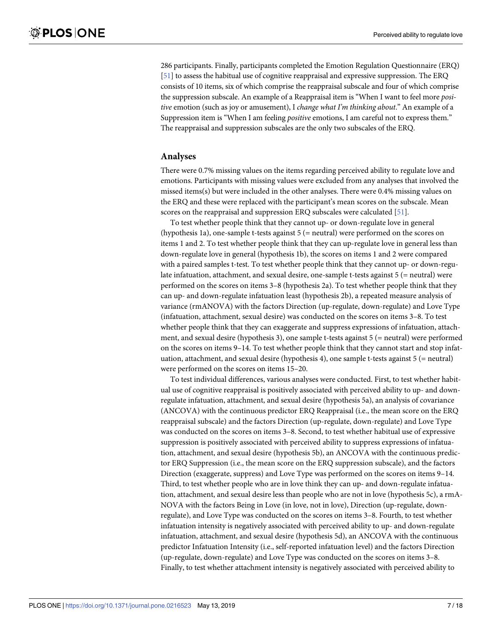<span id="page-6-0"></span>286 participants. Finally, participants completed the Emotion Regulation Questionnaire (ERQ) [\[51\]](#page-17-0) to assess the habitual use of cognitive reappraisal and expressive suppression. The ERQ consists of 10 items, six of which comprise the reappraisal subscale and four of which comprise the suppression subscale. An example of a Reappraisal item is "When I want to feel more *positive* emotion (such as joy or amusement), I *change what I'm thinking about*." An example of a Suppression item is "When I am feeling *positive* emotions, I am careful not to express them." The reappraisal and suppression subscales are the only two subscales of the ERQ.

#### **Analyses**

There were 0.7% missing values on the items regarding perceived ability to regulate love and emotions. Participants with missing values were excluded from any analyses that involved the missed items(s) but were included in the other analyses. There were 0.4% missing values on the ERQ and these were replaced with the participant's mean scores on the subscale. Mean scores on the reappraisal and suppression ERQ subscales were calculated [\[51\]](#page-17-0).

To test whether people think that they cannot up- or down-regulate love in general (hypothesis 1a), one-sample t-tests against 5 (= neutral) were performed on the scores on items 1 and 2. To test whether people think that they can up-regulate love in general less than down-regulate love in general (hypothesis 1b), the scores on items 1 and 2 were compared with a paired samples t-test. To test whether people think that they cannot up- or down-regulate infatuation, attachment, and sexual desire, one-sample t-tests against 5 (= neutral) were performed on the scores on items 3–8 (hypothesis 2a). To test whether people think that they can up- and down-regulate infatuation least (hypothesis 2b), a repeated measure analysis of variance (rmANOVA) with the factors Direction (up-regulate, down-regulate) and Love Type (infatuation, attachment, sexual desire) was conducted on the scores on items 3–8. To test whether people think that they can exaggerate and suppress expressions of infatuation, attachment, and sexual desire (hypothesis 3), one sample t-tests against 5 (= neutral) were performed on the scores on items 9–14. To test whether people think that they cannot start and stop infatuation, attachment, and sexual desire (hypothesis 4), one sample t-tests against 5 (= neutral) were performed on the scores on items 15–20.

To test individual differences, various analyses were conducted. First, to test whether habitual use of cognitive reappraisal is positively associated with perceived ability to up- and downregulate infatuation, attachment, and sexual desire (hypothesis 5a), an analysis of covariance (ANCOVA) with the continuous predictor ERQ Reappraisal (i.e., the mean score on the ERQ reappraisal subscale) and the factors Direction (up-regulate, down-regulate) and Love Type was conducted on the scores on items 3–8. Second, to test whether habitual use of expressive suppression is positively associated with perceived ability to suppress expressions of infatuation, attachment, and sexual desire (hypothesis 5b), an ANCOVA with the continuous predictor ERQ Suppression (i.e., the mean score on the ERQ suppression subscale), and the factors Direction (exaggerate, suppress) and Love Type was performed on the scores on items 9–14. Third, to test whether people who are in love think they can up- and down-regulate infatuation, attachment, and sexual desire less than people who are not in love (hypothesis 5c), a rmA-NOVA with the factors Being in Love (in love, not in love), Direction (up-regulate, downregulate), and Love Type was conducted on the scores on items 3–8. Fourth, to test whether infatuation intensity is negatively associated with perceived ability to up- and down-regulate infatuation, attachment, and sexual desire (hypothesis 5d), an ANCOVA with the continuous predictor Infatuation Intensity (i.e., self-reported infatuation level) and the factors Direction (up-regulate, down-regulate) and Love Type was conducted on the scores on items 3–8. Finally, to test whether attachment intensity is negatively associated with perceived ability to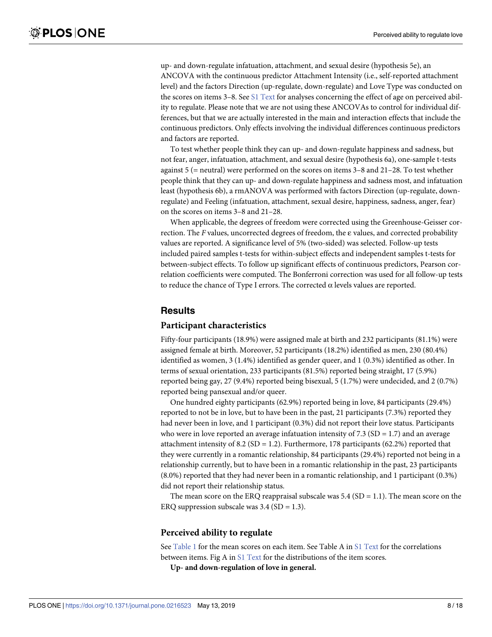up- and down-regulate infatuation, attachment, and sexual desire (hypothesis 5e), an ANCOVA with the continuous predictor Attachment Intensity (i.e., self-reported attachment level) and the factors Direction (up-regulate, down-regulate) and Love Type was conducted on the scores on items 3–8. See S1 [Text](#page-15-0) for analyses concerning the effect of age on perceived ability to regulate. Please note that we are not using these ANCOVAs to control for individual differences, but that we are actually interested in the main and interaction effects that include the continuous predictors. Only effects involving the individual differences continuous predictors and factors are reported.

To test whether people think they can up- and down-regulate happiness and sadness, but not fear, anger, infatuation, attachment, and sexual desire (hypothesis 6a), one-sample t-tests against 5 (= neutral) were performed on the scores on items 3–8 and 21–28. To test whether people think that they can up- and down-regulate happiness and sadness most, and infatuation least (hypothesis 6b), a rmANOVA was performed with factors Direction (up-regulate, downregulate) and Feeling (infatuation, attachment, sexual desire, happiness, sadness, anger, fear) on the scores on items 3–8 and 21–28.

When applicable, the degrees of freedom were corrected using the Greenhouse-Geisser correction. The *F* values, uncorrected degrees of freedom, the ε values, and corrected probability values are reported. A significance level of 5% (two-sided) was selected. Follow-up tests included paired samples t-tests for within-subject effects and independent samples t-tests for between-subject effects. To follow up significant effects of continuous predictors, Pearson correlation coefficients were computed. The Bonferroni correction was used for all follow-up tests to reduce the chance of Type I errors. The corrected α levels values are reported.

#### **Results**

#### **Participant characteristics**

Fifty-four participants (18.9%) were assigned male at birth and 232 participants (81.1%) were assigned female at birth. Moreover, 52 participants (18.2%) identified as men, 230 (80.4%) identified as women, 3 (1.4%) identified as gender queer, and 1 (0.3%) identified as other. In terms of sexual orientation, 233 participants (81.5%) reported being straight, 17 (5.9%) reported being gay, 27 (9.4%) reported being bisexual, 5 (1.7%) were undecided, and 2 (0.7%) reported being pansexual and/or queer.

One hundred eighty participants (62.9%) reported being in love, 84 participants (29.4%) reported to not be in love, but to have been in the past, 21 participants (7.3%) reported they had never been in love, and 1 participant (0.3%) did not report their love status. Participants who were in love reported an average infatuation intensity of  $7.3$  (SD = 1.7) and an average attachment intensity of 8.2 (SD = 1.2). Furthermore, 178 participants (62.2%) reported that they were currently in a romantic relationship, 84 participants (29.4%) reported not being in a relationship currently, but to have been in a romantic relationship in the past, 23 participants (8.0%) reported that they had never been in a romantic relationship, and 1 participant (0.3%) did not report their relationship status.

The mean score on the ERQ reappraisal subscale was  $5.4$  (SD = 1.1). The mean score on the ERQ suppression subscale was  $3.4$  (SD = 1.3).

#### **Perceived ability to regulate**

See [Table](#page-5-0) 1 for the mean scores on each item. See Table A in S1 [Text](#page-15-0) for the correlations between items. Fig A in S1 [Text](#page-15-0) for the distributions of the item scores.

**Up- and down-regulation of love in general.**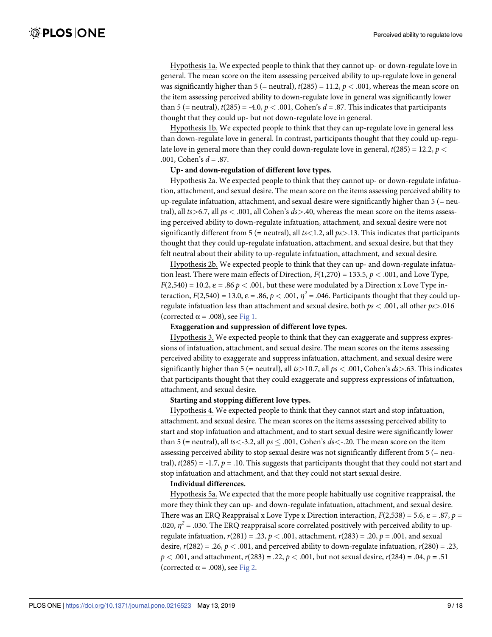<span id="page-8-0"></span>Hypothesis 1a. We expected people to think that they cannot up- or down-regulate love in general. The mean score on the item assessing perceived ability to up-regulate love in general was significantly higher than  $5$  (= neutral),  $t(285) = 11.2$ ,  $p < .001$ , whereas the mean score on the item assessing perceived ability to down-regulate love in general was significantly lower than 5 (= neutral),  $t(285) = -4.0$ ,  $p < .001$ , Cohen's  $d = .87$ . This indicates that participants thought that they could up- but not down-regulate love in general.

Hypothesis 1b. We expected people to think that they can up-regulate love in general less than down-regulate love in general. In contrast, participants thought that they could up-regulate love in general more than they could down-regulate love in general, *t*(285) = 12.2, *p <* .001, Cohen's *d* = .87.

#### **Up- and down-regulation of different love types.**

Hypothesis 2a. We expected people to think that they cannot up- or down-regulate infatuation, attachment, and sexual desire. The mean score on the items assessing perceived ability to up-regulate infatuation, attachment, and sexual desire were significantly higher than  $5$  (= neutral), all *ts>*6.7, all *ps <* .001, all Cohen's *ds>*.40, whereas the mean score on the items assessing perceived ability to down-regulate infatuation, attachment, and sexual desire were not significantly different from 5 (= neutral), all *ts<*1.2, all *ps>*.13. This indicates that participants thought that they could up-regulate infatuation, attachment, and sexual desire, but that they felt neutral about their ability to up-regulate infatuation, attachment, and sexual desire.

Hypothesis 2b. We expected people to think that they can up- and down-regulate infatuation least. There were main effects of Direction,  $F(1,270) = 133.5$ ,  $p < .001$ , and Love Type,  $F(2,540) = 10.2$ ,  $\varepsilon = .86$   $p < .001$ , but these were modulated by a Direction x Love Type interaction,  $F(2,540) = 13.0$ ,  $\varepsilon = .86$ ,  $p < .001$ ,  $\eta^2 = .046$ . Participants thought that they could upregulate infatuation less than attachment and sexual desire, both *ps <* .001, all other *ps>*.016 (corrected  $\alpha$  = .008), see [Fig](#page-9-0) 1.

#### **Exaggeration and suppression of different love types.**

Hypothesis 3. We expected people to think that they can exaggerate and suppress expressions of infatuation, attachment, and sexual desire. The mean scores on the items assessing perceived ability to exaggerate and suppress infatuation, attachment, and sexual desire were significantly higher than 5 (= neutral), all *ts>*10.7, all *ps <* .001, Cohen's *ds>*.63. This indicates that participants thought that they could exaggerate and suppress expressions of infatuation, attachment, and sexual desire.

#### **Starting and stopping different love types.**

Hypothesis 4. We expected people to think that they cannot start and stop infatuation, attachment, and sexual desire. The mean scores on the items assessing perceived ability to start and stop infatuation and attachment, and to start sexual desire were significantly lower than 5 (= neutral), all  $ts < -3.2$ , all  $ps \leq .001$ , Cohen's  $ds < -20$ . The mean score on the item assessing perceived ability to stop sexual desire was not significantly different from 5 (= neutral),  $t(285) = -1.7$ ,  $p = .10$ . This suggests that participants thought that they could not start and stop infatuation and attachment, and that they could not start sexual desire.

#### **Individual differences.**

Hypothesis 5a. We expected that the more people habitually use cognitive reappraisal, the more they think they can up- and down-regulate infatuation, attachment, and sexual desire. There was an ERQ Reappraisal x Love Type x Direction interaction,  $F(2,538) = 5.6$ ,  $\varepsilon = .87$ ,  $p =$ .020,  $\eta^2$  = .030. The ERQ reappraisal score correlated positively with perceived ability to upregulate infatuation,  $r(281) = .23$ ,  $p < .001$ , attachment,  $r(283) = .20$ ,  $p = .001$ , and sexual desire,  $r(282) = .26$ ,  $p < .001$ , and perceived ability to down-regulate infatuation,  $r(280) = .23$ , *p*  $\lt$  .001, and attachment, *r*(283) = .22, *p*  $\lt$  .001, but not sexual desire, *r*(284) = .04, *p* = .51 (corrected  $\alpha$  = .008), see [Fig](#page-9-0) 2.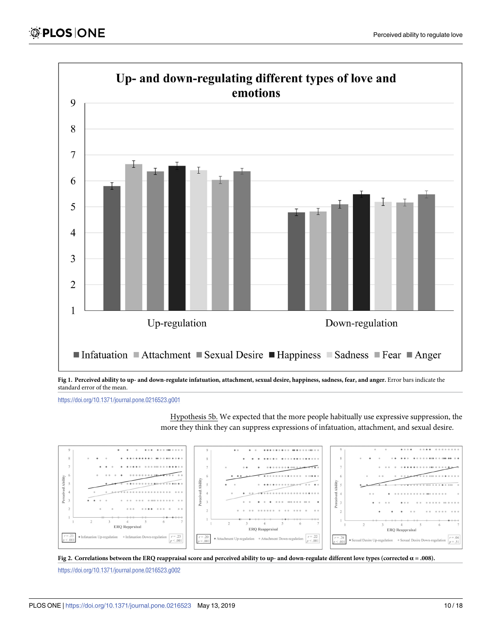<span id="page-9-0"></span>

[Fig](#page-8-0) 1. Perceived ability to up- and down-regulate infatuation, attachment, sexual desire, happiness, sadness, fear, and anger. Error bars indicate the standard error of the mean.

<https://doi.org/10.1371/journal.pone.0216523.g001>

Hypothesis 5b. We expected that the more people habitually use expressive suppression, the more they think they can suppress expressions of infatuation, attachment, and sexual desire.





<https://doi.org/10.1371/journal.pone.0216523.g002>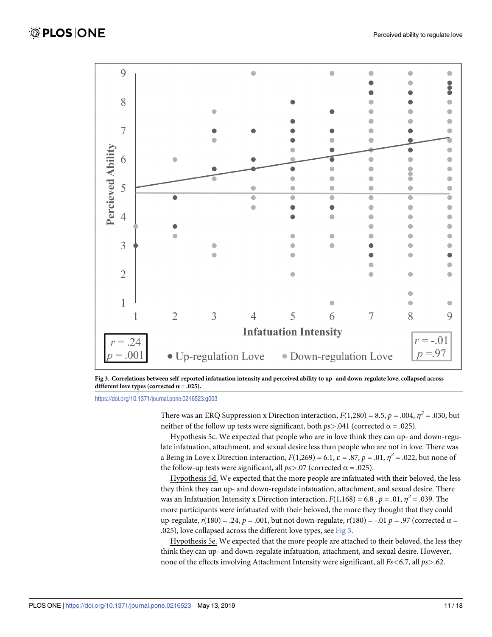

Fig 3. Correlations between self-reported infatuation intensity and perceived ability to up- and down-regulate love, collapsed across **different** love **types** (corrected  $\alpha = .025$ ).

<https://doi.org/10.1371/journal.pone.0216523.g003>

There was an ERQ Suppression x Direction interaction,  $F(1,280) = 8.5$ ,  $p = .004$ ,  $\eta^2 = .030$ , but neither of the follow up tests were significant, both  $ps$  > .041 (corrected α = .025).

Hypothesis 5c. We expected that people who are in love think they can up- and down-regulate infatuation, attachment, and sexual desire less than people who are not in love. There was a Being in Love x Direction interaction,  $F(1,269) = 6.1$ ,  $\varepsilon = .87$ ,  $p = .01$ ,  $\eta^2 = .022$ , but none of the follow-up tests were significant, all  $ps$  > .07 (corrected  $\alpha$  = .025).

Hypothesis 5d. We expected that the more people are infatuated with their beloved, the less they think they can up- and down-regulate infatuation, attachment, and sexual desire. There was an Infatuation Intensity x Direction interaction,  $F(1,168) = 6.8$ ,  $p = .01$ ,  $\eta^2 = .039$ . The more participants were infatuated with their beloved, the more they thought that they could up-regulate,  $r(180) = .24$ ,  $p = .001$ , but not down-regulate,  $r(180) = .01$   $p = .97$  (corrected  $\alpha =$ .025), love collapsed across the different love types, see Fig 3.

Hypothesis 5e. We expected that the more people are attached to their beloved, the less they think they can up- and down-regulate infatuation, attachment, and sexual desire. However, none of the effects involving Attachment Intensity were significant, all *Fs<*6.7, all *ps>*.62.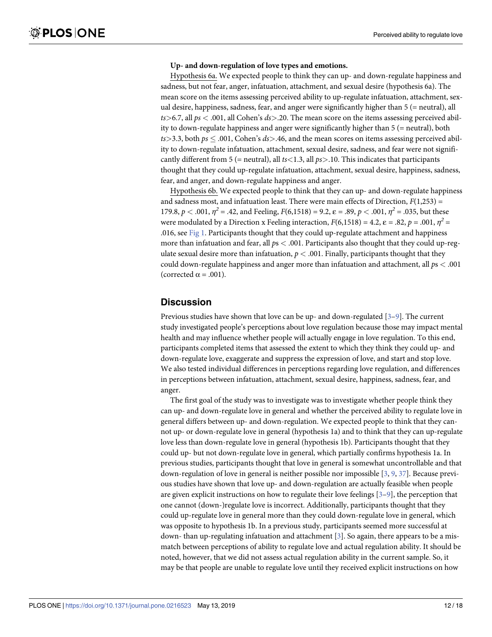#### **Up- and down-regulation of love types and emotions.**

Hypothesis 6a. We expected people to think they can up- and down-regulate happiness and sadness, but not fear, anger, infatuation, attachment, and sexual desire (hypothesis 6a). The mean score on the items assessing perceived ability to up-regulate infatuation, attachment, sexual desire, happiness, sadness, fear, and anger were significantly higher than 5 (= neutral), all  $>$ *6.7, all*  $*p*<sub>5</sub>$  $<$  *.001, all Cohen's*  $*ds*$  $>$  *.20. The mean score on the items assessing perceived abil*ity to down-regulate happiness and anger were significantly higher than 5 (= neutral), both  $ts$   $\ge$  3.3, both *ps*  $\le$  .001, Cohen's *ds* $>$ .46, and the mean scores on items assessing perceived ability to down-regulate infatuation, attachment, sexual desire, sadness, and fear were not significantly different from 5 (= neutral), all *ts<*1.3, all *ps>*.10. This indicates that participants thought that they could up-regulate infatuation, attachment, sexual desire, happiness, sadness, fear, and anger, and down-regulate happiness and anger.

Hypothesis 6b. We expected people to think that they can up- and down-regulate happiness and sadness most, and infatuation least. There were main effects of Direction,  $F(1,253) =$ 179.8,  $p < .001$ ,  $\eta^2 = .42$ , and Feeling,  $F(6,1518) = 9.2$ ,  $\varepsilon = .89$ ,  $p < .001$ ,  $\eta^2 = .035$ , but these were modulated by a Direction x Feeling interaction,  $F(6,1518) = 4.2$ ,  $\varepsilon = .82$ ,  $p = .001$ ,  $\eta^2 =$ .016, see [Fig](#page-9-0) 1. Participants thought that they could up-regulate attachment and happiness more than infatuation and fear, all *p*s *<* .001. Participants also thought that they could up-regulate sexual desire more than infatuation,  $p < .001$ . Finally, participants thought that they could down-regulate happiness and anger more than infatuation and attachment, all *p*s *<* .001 (corrected  $\alpha$  = .001).

### **Discussion**

Previous studies have shown that love can be up- and down-regulated [\[3](#page-15-0)[–9\]](#page-16-0). The current study investigated people's perceptions about love regulation because those may impact mental health and may influence whether people will actually engage in love regulation. To this end, participants completed items that assessed the extent to which they think they could up- and down-regulate love, exaggerate and suppress the expression of love, and start and stop love. We also tested individual differences in perceptions regarding love regulation, and differences in perceptions between infatuation, attachment, sexual desire, happiness, sadness, fear, and anger.

The first goal of the study was to investigate was to investigate whether people think they can up- and down-regulate love in general and whether the perceived ability to regulate love in general differs between up- and down-regulation. We expected people to think that they cannot up- or down-regulate love in general (hypothesis 1a) and to think that they can up-regulate love less than down-regulate love in general (hypothesis 1b). Participants thought that they could up- but not down-regulate love in general, which partially confirms hypothesis 1a. In previous studies, participants thought that love in general is somewhat uncontrollable and that down-regulation of love in general is neither possible nor impossible [[3,](#page-15-0) [9,](#page-16-0) [37\]](#page-17-0). Because previous studies have shown that love up- and down-regulation are actually feasible when people are given explicit instructions on how to regulate their love feelings [\[3](#page-15-0)[–9](#page-16-0)], the perception that one cannot (down-)regulate love is incorrect. Additionally, participants thought that they could up-regulate love in general more than they could down-regulate love in general, which was opposite to hypothesis 1b. In a previous study, participants seemed more successful at down- than up-regulating infatuation and attachment [[3](#page-15-0)]. So again, there appears to be a mismatch between perceptions of ability to regulate love and actual regulation ability. It should be noted, however, that we did not assess actual regulation ability in the current sample. So, it may be that people are unable to regulate love until they received explicit instructions on how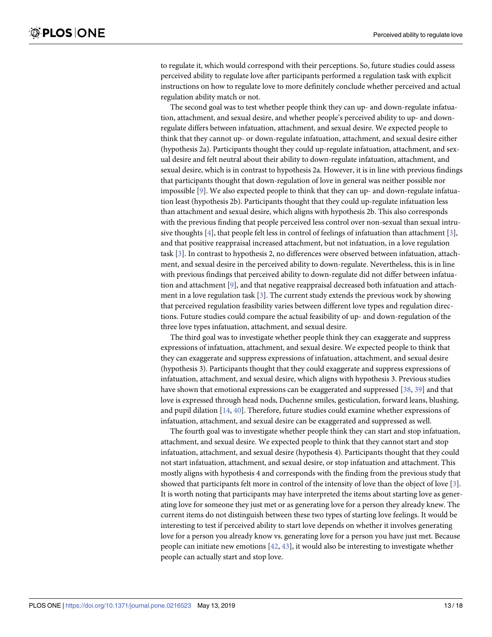<span id="page-12-0"></span>to regulate it, which would correspond with their perceptions. So, future studies could assess perceived ability to regulate love after participants performed a regulation task with explicit instructions on how to regulate love to more definitely conclude whether perceived and actual regulation ability match or not.

The second goal was to test whether people think they can up- and down-regulate infatuation, attachment, and sexual desire, and whether people's perceived ability to up- and downregulate differs between infatuation, attachment, and sexual desire. We expected people to think that they cannot up- or down-regulate infatuation, attachment, and sexual desire either (hypothesis 2a). Participants thought they could up-regulate infatuation, attachment, and sexual desire and felt neutral about their ability to down-regulate infatuation, attachment, and sexual desire, which is in contrast to hypothesis 2a. However, it is in line with previous findings that participants thought that down-regulation of love in general was neither possible nor impossible [\[9](#page-16-0)]. We also expected people to think that they can up- and down-regulate infatuation least (hypothesis 2b). Participants thought that they could up-regulate infatuation less than attachment and sexual desire, which aligns with hypothesis 2b. This also corresponds with the previous finding that people perceived less control over non-sexual than sexual intrusive thoughts [\[4\]](#page-15-0), that people felt less in control of feelings of infatuation than attachment [\[3](#page-15-0)], and that positive reappraisal increased attachment, but not infatuation, in a love regulation task [\[3](#page-15-0)]. In contrast to hypothesis 2, no differences were observed between infatuation, attachment, and sexual desire in the perceived ability to down-regulate. Nevertheless, this is in line with previous findings that perceived ability to down-regulate did not differ between infatuation and attachment [\[9](#page-16-0)], and that negative reappraisal decreased both infatuation and attachment in a love regulation task  $[3]$ . The current study extends the previous work by showing that perceived regulation feasibility varies between different love types and regulation directions. Future studies could compare the actual feasibility of up- and down-regulation of the three love types infatuation, attachment, and sexual desire.

The third goal was to investigate whether people think they can exaggerate and suppress expressions of infatuation, attachment, and sexual desire. We expected people to think that they can exaggerate and suppress expressions of infatuation, attachment, and sexual desire (hypothesis 3). Participants thought that they could exaggerate and suppress expressions of infatuation, attachment, and sexual desire, which aligns with hypothesis 3. Previous studies have shown that emotional expressions can be exaggerated and suppressed [[38](#page-17-0), [39](#page-17-0)] and that love is expressed through head nods, Duchenne smiles, gesticulation, forward leans, blushing, and pupil dilation [[14](#page-16-0), [40](#page-17-0)]. Therefore, future studies could examine whether expressions of infatuation, attachment, and sexual desire can be exaggerated and suppressed as well.

The fourth goal was to investigate whether people think they can start and stop infatuation, attachment, and sexual desire. We expected people to think that they cannot start and stop infatuation, attachment, and sexual desire (hypothesis 4). Participants thought that they could not start infatuation, attachment, and sexual desire, or stop infatuation and attachment. This mostly aligns with hypothesis 4 and corresponds with the finding from the previous study that showed that participants felt more in control of the intensity of love than the object of love [\[3](#page-15-0)]. It is worth noting that participants may have interpreted the items about starting love as generating love for someone they just met or as generating love for a person they already knew. The current items do not distinguish between these two types of starting love feelings. It would be interesting to test if perceived ability to start love depends on whether it involves generating love for a person you already know vs. generating love for a person you have just met. Because people can initiate new emotions [[42](#page-17-0), [43](#page-17-0)], it would also be interesting to investigate whether people can actually start and stop love.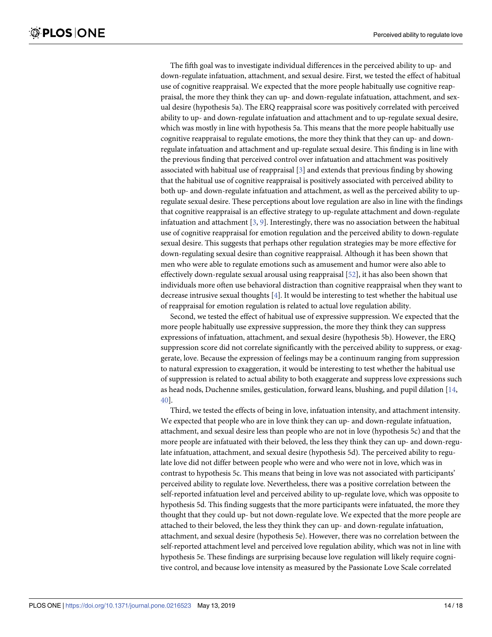<span id="page-13-0"></span>The fifth goal was to investigate individual differences in the perceived ability to up- and down-regulate infatuation, attachment, and sexual desire. First, we tested the effect of habitual use of cognitive reappraisal. We expected that the more people habitually use cognitive reappraisal, the more they think they can up- and down-regulate infatuation, attachment, and sexual desire (hypothesis 5a). The ERQ reappraisal score was positively correlated with perceived ability to up- and down-regulate infatuation and attachment and to up-regulate sexual desire, which was mostly in line with hypothesis 5a. This means that the more people habitually use cognitive reappraisal to regulate emotions, the more they think that they can up- and downregulate infatuation and attachment and up-regulate sexual desire. This finding is in line with the previous finding that perceived control over infatuation and attachment was positively associated with habitual use of reappraisal [\[3\]](#page-15-0) and extends that previous finding by showing that the habitual use of cognitive reappraisal is positively associated with perceived ability to both up- and down-regulate infatuation and attachment, as well as the perceived ability to upregulate sexual desire. These perceptions about love regulation are also in line with the findings that cognitive reappraisal is an effective strategy to up-regulate attachment and down-regulate infatuation and attachment  $[3, 9]$  $[3, 9]$  $[3, 9]$  $[3, 9]$ . Interestingly, there was no association between the habitual use of cognitive reappraisal for emotion regulation and the perceived ability to down-regulate sexual desire. This suggests that perhaps other regulation strategies may be more effective for down-regulating sexual desire than cognitive reappraisal. Although it has been shown that men who were able to regulate emotions such as amusement and humor were also able to effectively down-regulate sexual arousal using reappraisal [\[52\]](#page-17-0), it has also been shown that individuals more often use behavioral distraction than cognitive reappraisal when they want to decrease intrusive sexual thoughts [\[4\]](#page-15-0). It would be interesting to test whether the habitual use of reappraisal for emotion regulation is related to actual love regulation ability.

Second, we tested the effect of habitual use of expressive suppression. We expected that the more people habitually use expressive suppression, the more they think they can suppress expressions of infatuation, attachment, and sexual desire (hypothesis 5b). However, the ERQ suppression score did not correlate significantly with the perceived ability to suppress, or exaggerate, love. Because the expression of feelings may be a continuum ranging from suppression to natural expression to exaggeration, it would be interesting to test whether the habitual use of suppression is related to actual ability to both exaggerate and suppress love expressions such as head nods, Duchenne smiles, gesticulation, forward leans, blushing, and pupil dilation [[14](#page-16-0), [40\]](#page-17-0).

Third, we tested the effects of being in love, infatuation intensity, and attachment intensity. We expected that people who are in love think they can up- and down-regulate infatuation, attachment, and sexual desire less than people who are not in love (hypothesis 5c) and that the more people are infatuated with their beloved, the less they think they can up- and down-regulate infatuation, attachment, and sexual desire (hypothesis 5d). The perceived ability to regulate love did not differ between people who were and who were not in love, which was in contrast to hypothesis 5c. This means that being in love was not associated with participants' perceived ability to regulate love. Nevertheless, there was a positive correlation between the self-reported infatuation level and perceived ability to up-regulate love, which was opposite to hypothesis 5d. This finding suggests that the more participants were infatuated, the more they thought that they could up- but not down-regulate love. We expected that the more people are attached to their beloved, the less they think they can up- and down-regulate infatuation, attachment, and sexual desire (hypothesis 5e). However, there was no correlation between the self-reported attachment level and perceived love regulation ability, which was not in line with hypothesis 5e. These findings are surprising because love regulation will likely require cognitive control, and because love intensity as measured by the Passionate Love Scale correlated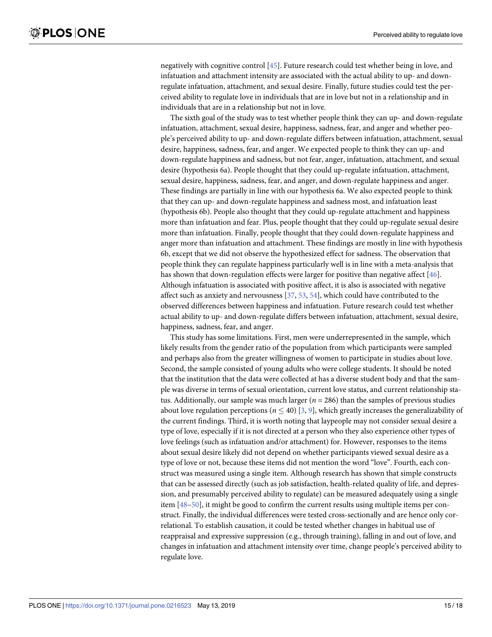<span id="page-14-0"></span>negatively with cognitive control [[45](#page-17-0)]. Future research could test whether being in love, and infatuation and attachment intensity are associated with the actual ability to up- and downregulate infatuation, attachment, and sexual desire. Finally, future studies could test the perceived ability to regulate love in individuals that are in love but not in a relationship and in individuals that are in a relationship but not in love.

The sixth goal of the study was to test whether people think they can up- and down-regulate infatuation, attachment, sexual desire, happiness, sadness, fear, and anger and whether people's perceived ability to up- and down-regulate differs between infatuation, attachment, sexual desire, happiness, sadness, fear, and anger. We expected people to think they can up- and down-regulate happiness and sadness, but not fear, anger, infatuation, attachment, and sexual desire (hypothesis 6a). People thought that they could up-regulate infatuation, attachment, sexual desire, happiness, sadness, fear, and anger, and down-regulate happiness and anger. These findings are partially in line with our hypothesis 6a. We also expected people to think that they can up- and down-regulate happiness and sadness most, and infatuation least (hypothesis 6b). People also thought that they could up-regulate attachment and happiness more than infatuation and fear. Plus, people thought that they could up-regulate sexual desire more than infatuation. Finally, people thought that they could down-regulate happiness and anger more than infatuation and attachment. These findings are mostly in line with hypothesis 6b, except that we did not observe the hypothesized effect for sadness. The observation that people think they can regulate happiness particularly well is in line with a meta-analysis that has shown that down-regulation effects were larger for positive than negative affect [[46](#page-17-0)]. Although infatuation is associated with positive affect, it is also is associated with negative affect such as anxiety and nervousness [\[37,](#page-17-0) [53,](#page-17-0) [54\]](#page-17-0), which could have contributed to the observed differences between happiness and infatuation. Future research could test whether actual ability to up- and down-regulate differs between infatuation, attachment, sexual desire, happiness, sadness, fear, and anger.

This study has some limitations. First, men were underrepresented in the sample, which likely results from the gender ratio of the population from which participants were sampled and perhaps also from the greater willingness of women to participate in studies about love. Second, the sample consisted of young adults who were college students. It should be noted that the institution that the data were collected at has a diverse student body and that the sample was diverse in terms of sexual orientation, current love status, and current relationship status. Additionally, our sample was much larger  $(n = 286)$  than the samples of previous studies about love regulation perceptions ( $n \leq 40$ ) [[3](#page-15-0), [9\]](#page-16-0), which greatly increases the generalizability of the current findings. Third, it is worth noting that laypeople may not consider sexual desire a type of love, especially if it is not directed at a person who they also experience other types of love feelings (such as infatuation and/or attachment) for. However, responses to the items about sexual desire likely did not depend on whether participants viewed sexual desire as a type of love or not, because these items did not mention the word "love". Fourth, each construct was measured using a single item. Although research has shown that simple constructs that can be assessed directly (such as job satisfaction, health-related quality of life, and depression, and presumably perceived ability to regulate) can be measured adequately using a single item [[48–50\]](#page-17-0), it might be good to confirm the current results using multiple items per construct. Finally, the individual differences were tested cross-sectionally and are hence only correlational. To establish causation, it could be tested whether changes in habitual use of reappraisal and expressive suppression (e.g., through training), falling in and out of love, and changes in infatuation and attachment intensity over time, change people's perceived ability to regulate love.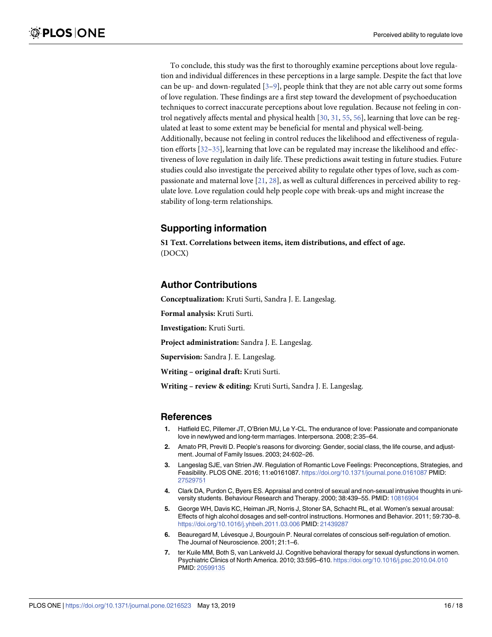<span id="page-15-0"></span>To conclude, this study was the first to thoroughly examine perceptions about love regulation and individual differences in these perceptions in a large sample. Despite the fact that love can be up- and down-regulated  $[3-9]$ , people think that they are not able carry out some forms of love regulation. These findings are a first step toward the development of psychoeducation techniques to correct inaccurate perceptions about love regulation. Because not feeling in control negatively affects mental and physical health [\[30,](#page-16-0) [31,](#page-16-0) [55,](#page-17-0) [56](#page-17-0)], learning that love can be regulated at least to some extent may be beneficial for mental and physical well-being. Additionally, because not feeling in control reduces the likelihood and effectiveness of regulation efforts [\[32–](#page-16-0)[35\]](#page-17-0), learning that love can be regulated may increase the likelihood and effectiveness of love regulation in daily life. These predictions await testing in future studies. Future studies could also investigate the perceived ability to regulate other types of love, such as compassionate and maternal love [[21](#page-16-0), [28](#page-16-0)], as well as cultural differences in perceived ability to regulate love. Love regulation could help people cope with break-ups and might increase the stability of long-term relationships.

# **Supporting information**

**S1 [Text](http://www.plosone.org/article/fetchSingleRepresentation.action?uri=info:doi/10.1371/journal.pone.0216523.s001). Correlations between items, item distributions, and effect of age.** (DOCX)

# **Author Contributions**

**Conceptualization:** Kruti Surti, Sandra J. E. Langeslag.

**Formal analysis:** Kruti Surti.

**Investigation:** Kruti Surti.

**Project administration:** Sandra J. E. Langeslag.

**Supervision:** Sandra J. E. Langeslag.

**Writing – original draft:** Kruti Surti.

**Writing – review & editing:** Kruti Surti, Sandra J. E. Langeslag.

## **References**

- **[1](#page-0-0).** Hatfield EC, Pillemer JT, O'Brien MU, Le Y-CL. The endurance of love: Passionate and companionate love in newlywed and long-term marriages. Interpersona. 2008; 2:35–64.
- **[2](#page-0-0).** Amato PR, Previti D. People's reasons for divorcing: Gender, social class, the life course, and adjustment. Journal of Family Issues. 2003; 24:602–26.
- **[3](#page-0-0).** Langeslag SJE, van Strien JW. Regulation of Romantic Love Feelings: Preconceptions, Strategies, and Feasibility. PLOS ONE. 2016; 11:e0161087. <https://doi.org/10.1371/journal.pone.0161087> PMID: [27529751](http://www.ncbi.nlm.nih.gov/pubmed/27529751)
- **[4](#page-2-0).** Clark DA, Purdon C, Byers ES. Appraisal and control of sexual and non-sexual intrusive thoughts in university students. Behaviour Research and Therapy. 2000; 38:439–55. PMID: [10816904](http://www.ncbi.nlm.nih.gov/pubmed/10816904)
- **[5](#page-1-0).** George WH, Davis KC, Heiman JR, Norris J, Stoner SA, Schacht RL, et al. Women's sexual arousal: Effects of high alcohol dosages and self-control instructions. Hormones and Behavior. 2011; 59:730–8. <https://doi.org/10.1016/j.yhbeh.2011.03.006> PMID: [21439287](http://www.ncbi.nlm.nih.gov/pubmed/21439287)
- **[6](#page-1-0).** Beauregard M, Lévesque J, Bourgouin P. Neural correlates of conscious self-regulation of emotion. The Journal of Neuroscience. 2001; 21:1–6.
- **[7](#page-1-0).** ter Kuile MM, Both S, van Lankveld JJ. Cognitive behavioral therapy for sexual dysfunctions in women. Psychiatric Clinics of North America. 2010; 33:595–610. <https://doi.org/10.1016/j.psc.2010.04.010> PMID: [20599135](http://www.ncbi.nlm.nih.gov/pubmed/20599135)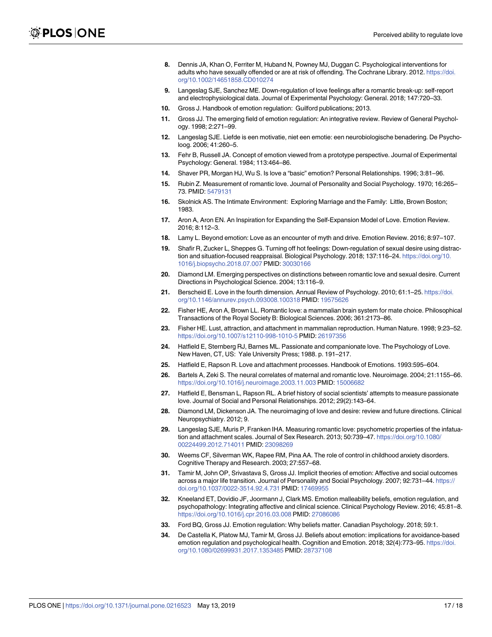- <span id="page-16-0"></span>**8.** Dennis JA, Khan O, Ferriter M, Huband N, Powney MJ, Duggan C. Psychological interventions for adults who have sexually offended or are at risk of offending. The Cochrane Library. 2012. [https://doi.](https://doi.org/10.1002/14651858.CD010274) [org/10.1002/14651858.CD010274](https://doi.org/10.1002/14651858.CD010274)
- **[9](#page-0-0).** Langeslag SJE, Sanchez ME. Down-regulation of love feelings after a romantic break-up: self-report and electrophysiological data. Journal of Experimental Psychology: General. 2018; 147:720–33.
- **[10](#page-0-0).** Gross J. Handbook of emotion regulation: Guilford publications; 2013.
- **[11](#page-1-0).** Gross JJ. The emerging field of emotion regulation: An integrative review. Review of General Psychology. 1998; 2:271–99.
- **[12](#page-1-0).** Langeslag SJE. Liefde is een motivatie, niet een emotie: een neurobiologische benadering. De Psycholoog. 2006; 41:260–5.
- **[13](#page-4-0).** Fehr B, Russell JA. Concept of emotion viewed from a prototype perspective. Journal of Experimental Psychology: General. 1984; 113:464–86.
- **[14](#page-12-0).** Shaver PR, Morgan HJ, Wu S. Is love a "basic" emotion? Personal Relationships. 1996; 3:81–96.
- **15.** Rubin Z. Measurement of romantic love. Journal of Personality and Social Psychology. 1970; 16:265– 73. PMID: [5479131](http://www.ncbi.nlm.nih.gov/pubmed/5479131)
- **16.** Skolnick AS. The Intimate Environment: Exploring Marriage and the Family: Little, Brown Boston; 1983.
- **17.** Aron A, Aron EN. An Inspiration for Expanding the Self-Expansion Model of Love. Emotion Review. 2016; 8:112–3.
- **[18](#page-1-0).** Lamy L. Beyond emotion: Love as an encounter of myth and drive. Emotion Review. 2016; 8:97–107.
- **[19](#page-1-0).** Shafir R, Zucker L, Sheppes G. Turning off hot feelings: Down-regulation of sexual desire using distraction and situation-focused reappraisal. Biological Psychology. 2018; 137:116–24. [https://doi.org/10.](https://doi.org/10.1016/j.biopsycho.2018.07.007) [1016/j.biopsycho.2018.07.007](https://doi.org/10.1016/j.biopsycho.2018.07.007) PMID: [30030166](http://www.ncbi.nlm.nih.gov/pubmed/30030166)
- **[20](#page-1-0).** Diamond LM. Emerging perspectives on distinctions between romantic love and sexual desire. Current Directions in Psychological Science. 2004; 13:116–9.
- **[21](#page-15-0).** Berscheid E. Love in the fourth dimension. Annual Review of Psychology. 2010; 61:1–25. [https://doi.](https://doi.org/10.1146/annurev.psych.093008.100318) [org/10.1146/annurev.psych.093008.100318](https://doi.org/10.1146/annurev.psych.093008.100318) PMID: [19575626](http://www.ncbi.nlm.nih.gov/pubmed/19575626)
- **[22](#page-1-0).** Fisher HE, Aron A, Brown LL. Romantic love: a mammalian brain system for mate choice. Philosophical Transactions of the Royal Society B: Biological Sciences. 2006; 361:2173–86.
- **23.** Fisher HE. Lust, attraction, and attachment in mammalian reproduction. Human Nature. 1998; 9:23–52. <https://doi.org/10.1007/s12110-998-1010-5> PMID: [26197356](http://www.ncbi.nlm.nih.gov/pubmed/26197356)
- **24.** Hatfield E, Sternberg RJ, Barnes ML. Passionate and companionate love. The Psychology of Love. New Haven, CT, US: Yale University Press; 1988. p. 191–217.
- **[25](#page-1-0).** Hatfield E, Rapson R. Love and attachment processes. Handbook of Emotions. 1993:595–604.
- **[26](#page-1-0).** Bartels A, Zeki S. The neural correlates of maternal and romantic love. Neuroimage. 2004; 21:1155–66. <https://doi.org/10.1016/j.neuroimage.2003.11.003> PMID: [15006682](http://www.ncbi.nlm.nih.gov/pubmed/15006682)
- **[27](#page-1-0).** Hatfield E, Bensman L, Rapson RL. A brief history of social scientists' attempts to measure passionate love. Journal of Social and Personal Relationships. 2012; 29(2):143–64.
- **[28](#page-1-0).** Diamond LM, Dickenson JA. The neuroimaging of love and desire: review and future directions. Clinical Neuropsychiatry. 2012; 9.
- **[29](#page-1-0).** Langeslag SJE, Muris P, Franken IHA. Measuring romantic love: psychometric properties of the infatuation and attachment scales. Journal of Sex Research. 2013; 50:739–47. [https://doi.org/10.1080/](https://doi.org/10.1080/00224499.2012.714011) [00224499.2012.714011](https://doi.org/10.1080/00224499.2012.714011) PMID: [23098269](http://www.ncbi.nlm.nih.gov/pubmed/23098269)
- **[30](#page-1-0).** Weems CF, Silverman WK, Rapee RM, Pina AA. The role of control in childhood anxiety disorders. Cognitive Therapy and Research. 2003; 27:557–68.
- **[31](#page-1-0).** Tamir M, John OP, Srivastava S, Gross JJ. Implicit theories of emotion: Affective and social outcomes across a major life transition. Journal of Personality and Social Psychology. 2007; 92:731–44. [https://](https://doi.org/10.1037/0022-3514.92.4.731) [doi.org/10.1037/0022-3514.92.4.731](https://doi.org/10.1037/0022-3514.92.4.731) PMID: [17469955](http://www.ncbi.nlm.nih.gov/pubmed/17469955)
- **[32](#page-1-0).** Kneeland ET, Dovidio JF, Joormann J, Clark MS. Emotion malleability beliefs, emotion regulation, and psychopathology: Integrating affective and clinical science. Clinical Psychology Review. 2016; 45:81–8. <https://doi.org/10.1016/j.cpr.2016.03.008> PMID: [27086086](http://www.ncbi.nlm.nih.gov/pubmed/27086086)
- **[33](#page-1-0).** Ford BQ, Gross JJ. Emotion regulation: Why beliefs matter. Canadian Psychology. 2018; 59:1.
- **[34](#page-1-0).** De Castella K, Platow MJ, Tamir M, Gross JJ. Beliefs about emotion: implications for avoidance-based emotion regulation and psychological health. Cognition and Emotion. 2018; 32(4):773-95. [https://doi.](https://doi.org/10.1080/02699931.2017.1353485) [org/10.1080/02699931.2017.1353485](https://doi.org/10.1080/02699931.2017.1353485) PMID: [28737108](http://www.ncbi.nlm.nih.gov/pubmed/28737108)